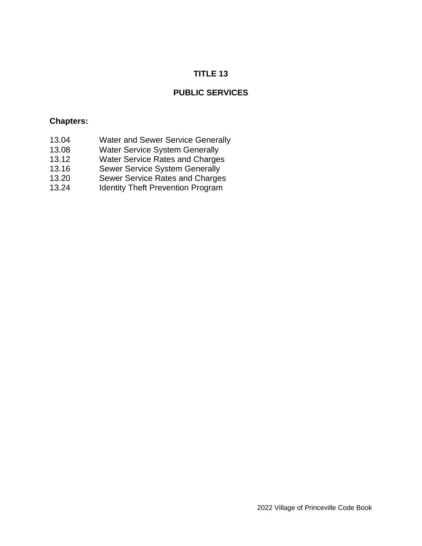# **TITLE 13**

# **PUBLIC SERVICES**

### **Chapters:**

- 13.04 Water and Sewer Service Generally
- 13.08 Water Service System Generally
- 13.12 Water Service Rates and Charges
- 13.16 Sewer Service System Generally
- 13.20 Sewer Service Rates and Charges
- 13.24 Identity Theft Prevention Program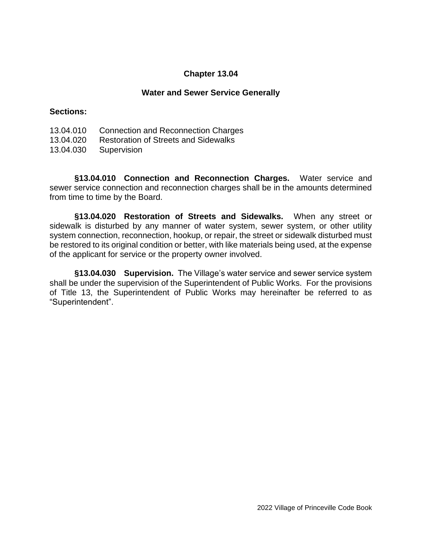#### **Water and Sewer Service Generally**

#### **Sections:**

| 13.04.010 | <b>Connection and Reconnection Charges</b> |  |  |  |
|-----------|--------------------------------------------|--|--|--|
|-----------|--------------------------------------------|--|--|--|

- 13.04.020 Restoration of Streets and Sidewalks
- 13.04.030 Supervision

**§13.04.010 Connection and Reconnection Charges.** Water service and sewer service connection and reconnection charges shall be in the amounts determined from time to time by the Board.

**§13.04.020 Restoration of Streets and Sidewalks.** When any street or sidewalk is disturbed by any manner of water system, sewer system, or other utility system connection, reconnection, hookup, or repair, the street or sidewalk disturbed must be restored to its original condition or better, with like materials being used, at the expense of the applicant for service or the property owner involved.

**§13.04.030 Supervision.** The Village's water service and sewer service system shall be under the supervision of the Superintendent of Public Works. For the provisions of Title 13, the Superintendent of Public Works may hereinafter be referred to as "Superintendent".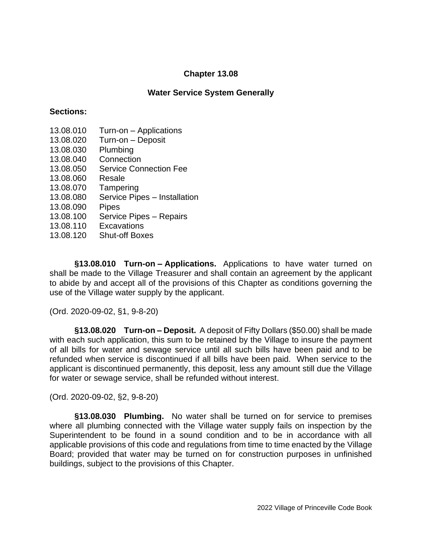### **Water Service System Generally**

### **Sections:**

- 13.08.010 Turn-on Applications
- 13.08.020 Turn-on Deposit
- 13.08.030 Plumbing
- 13.08.040 Connection
- 13.08.050 Service Connection Fee
- 13.08.060 Resale
- 13.08.070 Tampering
- 13.08.080 Service Pipes Installation
- 13.08.090 Pipes
- 13.08.100 Service Pipes Repairs
- 13.08.110 Excavations
- 13.08.120 Shut-off Boxes

**§13.08.010 Turn-on – Applications.** Applications to have water turned on shall be made to the Village Treasurer and shall contain an agreement by the applicant to abide by and accept all of the provisions of this Chapter as conditions governing the use of the Village water supply by the applicant.

(Ord. 2020-09-02, §1, 9-8-20)

**§13.08.020 Turn-on – Deposit.** A deposit of Fifty Dollars (\$50.00) shall be made with each such application, this sum to be retained by the Village to insure the payment of all bills for water and sewage service until all such bills have been paid and to be refunded when service is discontinued if all bills have been paid. When service to the applicant is discontinued permanently, this deposit, less any amount still due the Village for water or sewage service, shall be refunded without interest.

(Ord. 2020-09-02, §2, 9-8-20)

**§13.08.030 Plumbing.** No water shall be turned on for service to premises where all plumbing connected with the Village water supply fails on inspection by the Superintendent to be found in a sound condition and to be in accordance with all applicable provisions of this code and regulations from time to time enacted by the Village Board; provided that water may be turned on for construction purposes in unfinished buildings, subject to the provisions of this Chapter.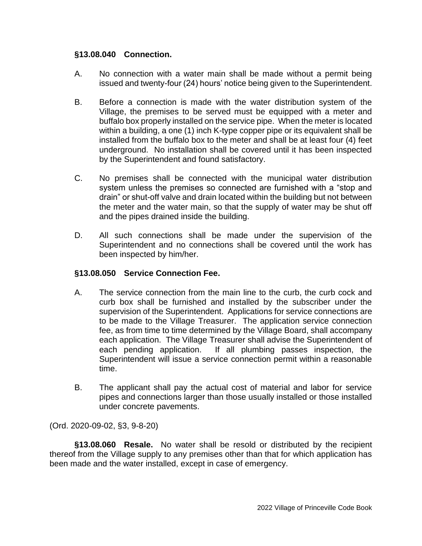### **§13.08.040 Connection.**

- A. No connection with a water main shall be made without a permit being issued and twenty-four (24) hours' notice being given to the Superintendent.
- B. Before a connection is made with the water distribution system of the Village, the premises to be served must be equipped with a meter and buffalo box properly installed on the service pipe. When the meter is located within a building, a one (1) inch K-type copper pipe or its equivalent shall be installed from the buffalo box to the meter and shall be at least four (4) feet underground. No installation shall be covered until it has been inspected by the Superintendent and found satisfactory.
- C. No premises shall be connected with the municipal water distribution system unless the premises so connected are furnished with a "stop and drain" or shut-off valve and drain located within the building but not between the meter and the water main, so that the supply of water may be shut off and the pipes drained inside the building.
- D. All such connections shall be made under the supervision of the Superintendent and no connections shall be covered until the work has been inspected by him/her.

### **§13.08.050 Service Connection Fee.**

- A. The service connection from the main line to the curb, the curb cock and curb box shall be furnished and installed by the subscriber under the supervision of the Superintendent. Applications for service connections are to be made to the Village Treasurer. The application service connection fee, as from time to time determined by the Village Board, shall accompany each application. The Village Treasurer shall advise the Superintendent of each pending application. If all plumbing passes inspection, the Superintendent will issue a service connection permit within a reasonable time.
- B. The applicant shall pay the actual cost of material and labor for service pipes and connections larger than those usually installed or those installed under concrete pavements.

(Ord. 2020-09-02, §3, 9-8-20)

**§13.08.060 Resale.** No water shall be resold or distributed by the recipient thereof from the Village supply to any premises other than that for which application has been made and the water installed, except in case of emergency.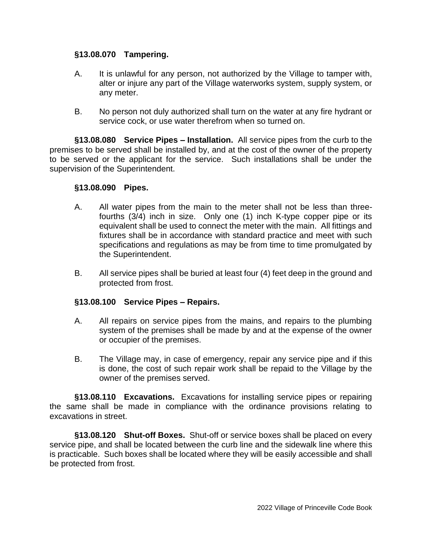### **§13.08.070 Tampering.**

- A. It is unlawful for any person, not authorized by the Village to tamper with, alter or injure any part of the Village waterworks system, supply system, or any meter.
- B. No person not duly authorized shall turn on the water at any fire hydrant or service cock, or use water therefrom when so turned on.

**§13.08.080 Service Pipes – Installation.** All service pipes from the curb to the premises to be served shall be installed by, and at the cost of the owner of the property to be served or the applicant for the service. Such installations shall be under the supervision of the Superintendent.

### **§13.08.090 Pipes.**

- A. All water pipes from the main to the meter shall not be less than threefourths (3/4) inch in size. Only one (1) inch K-type copper pipe or its equivalent shall be used to connect the meter with the main. All fittings and fixtures shall be in accordance with standard practice and meet with such specifications and regulations as may be from time to time promulgated by the Superintendent.
- B. All service pipes shall be buried at least four (4) feet deep in the ground and protected from frost.

### **§13.08.100 Service Pipes – Repairs.**

- A. All repairs on service pipes from the mains, and repairs to the plumbing system of the premises shall be made by and at the expense of the owner or occupier of the premises.
- B. The Village may, in case of emergency, repair any service pipe and if this is done, the cost of such repair work shall be repaid to the Village by the owner of the premises served.

**§13.08.110 Excavations.** Excavations for installing service pipes or repairing the same shall be made in compliance with the ordinance provisions relating to excavations in street.

**§13.08.120 Shut-off Boxes.** Shut-off or service boxes shall be placed on every service pipe, and shall be located between the curb line and the sidewalk line where this is practicable. Such boxes shall be located where they will be easily accessible and shall be protected from frost.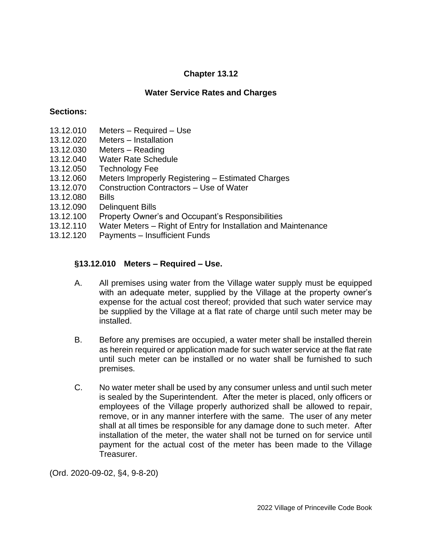## **Water Service Rates and Charges**

### **Sections:**

- 13.12.010 Meters Required Use
- 13.12.020 Meters Installation
- 13.12.030 Meters Reading
- 13.12.040 Water Rate Schedule
- 13.12.050 Technology Fee
- 13.12.060 Meters Improperly Registering Estimated Charges
- 13.12.070 Construction Contractors Use of Water
- 13.12.080 Bills
- 13.12.090 Delinquent Bills
- 13.12.100 Property Owner's and Occupant's Responsibilities
- 13.12.110 Water Meters Right of Entry for Installation and Maintenance
- 13.12.120 Payments Insufficient Funds

## **§13.12.010 Meters – Required – Use.**

- A. All premises using water from the Village water supply must be equipped with an adequate meter, supplied by the Village at the property owner's expense for the actual cost thereof; provided that such water service may be supplied by the Village at a flat rate of charge until such meter may be installed.
- B. Before any premises are occupied, a water meter shall be installed therein as herein required or application made for such water service at the flat rate until such meter can be installed or no water shall be furnished to such premises.
- C. No water meter shall be used by any consumer unless and until such meter is sealed by the Superintendent. After the meter is placed, only officers or employees of the Village properly authorized shall be allowed to repair, remove, or in any manner interfere with the same. The user of any meter shall at all times be responsible for any damage done to such meter. After installation of the meter, the water shall not be turned on for service until payment for the actual cost of the meter has been made to the Village Treasurer.

(Ord. 2020-09-02, §4, 9-8-20)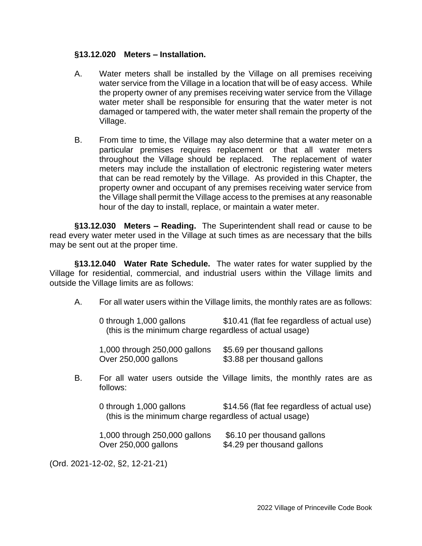### **§13.12.020 Meters – Installation.**

- A. Water meters shall be installed by the Village on all premises receiving water service from the Village in a location that will be of easy access. While the property owner of any premises receiving water service from the Village water meter shall be responsible for ensuring that the water meter is not damaged or tampered with, the water meter shall remain the property of the Village.
- B. From time to time, the Village may also determine that a water meter on a particular premises requires replacement or that all water meters throughout the Village should be replaced. The replacement of water meters may include the installation of electronic registering water meters that can be read remotely by the Village. As provided in this Chapter, the property owner and occupant of any premises receiving water service from the Village shall permit the Village access to the premises at any reasonable hour of the day to install, replace, or maintain a water meter.

**§13.12.030 Meters – Reading.** The Superintendent shall read or cause to be read every water meter used in the Village at such times as are necessary that the bills may be sent out at the proper time.

**§13.12.040 Water Rate Schedule.** The water rates for water supplied by the Village for residential, commercial, and industrial users within the Village limits and outside the Village limits are as follows:

| A. |                                                                                    | For all water users within the Village limits, the monthly rates are as follows: |  |  |  |
|----|------------------------------------------------------------------------------------|----------------------------------------------------------------------------------|--|--|--|
|    | 0 through 1,000 gallons<br>(this is the minimum charge regardless of actual usage) | \$10.41 (flat fee regardless of actual use)                                      |  |  |  |
|    | 1,000 through 250,000 gallons<br>Over 250,000 gallons                              | \$5.69 per thousand gallons<br>\$3.88 per thousand gallons                       |  |  |  |
| В. | follows:                                                                           | For all water users outside the Village limits, the monthly rates are as         |  |  |  |
|    | 0 through 1,000 gallons<br>(this is the minimum charge regardless of actual usage) | \$14.56 (flat fee regardless of actual use)                                      |  |  |  |
|    | 1,000 through 250,000 gallons<br>Over 250,000 gallons                              | \$6.10 per thousand gallons<br>\$4.29 per thousand gallons                       |  |  |  |

(Ord. 2021-12-02, §2, 12-21-21)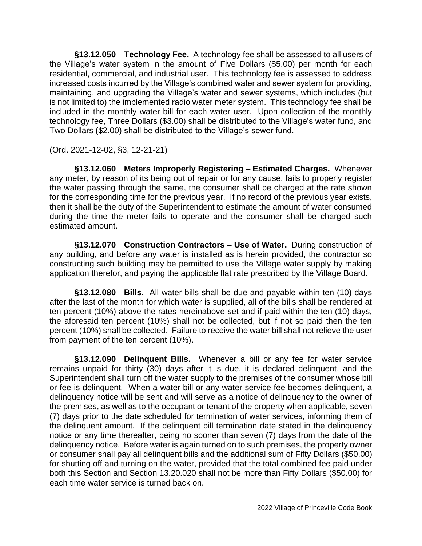**§13.12.050 Technology Fee.** A technology fee shall be assessed to all users of the Village's water system in the amount of Five Dollars (\$5.00) per month for each residential, commercial, and industrial user. This technology fee is assessed to address increased costs incurred by the Village's combined water and sewer system for providing, maintaining, and upgrading the Village's water and sewer systems, which includes (but is not limited to) the implemented radio water meter system. This technology fee shall be included in the monthly water bill for each water user. Upon collection of the monthly technology fee, Three Dollars (\$3.00) shall be distributed to the Village's water fund, and Two Dollars (\$2.00) shall be distributed to the Village's sewer fund.

(Ord. 2021-12-02, §3, 12-21-21)

**§13.12.060 Meters Improperly Registering – Estimated Charges.** Whenever any meter, by reason of its being out of repair or for any cause, fails to properly register the water passing through the same, the consumer shall be charged at the rate shown for the corresponding time for the previous year. If no record of the previous year exists, then it shall be the duty of the Superintendent to estimate the amount of water consumed during the time the meter fails to operate and the consumer shall be charged such estimated amount.

**§13.12.070 Construction Contractors – Use of Water.** During construction of any building, and before any water is installed as is herein provided, the contractor so constructing such building may be permitted to use the Village water supply by making application therefor, and paying the applicable flat rate prescribed by the Village Board.

**§13.12.080 Bills.** All water bills shall be due and payable within ten (10) days after the last of the month for which water is supplied, all of the bills shall be rendered at ten percent (10%) above the rates hereinabove set and if paid within the ten (10) days, the aforesaid ten percent (10%) shall not be collected, but if not so paid then the ten percent (10%) shall be collected. Failure to receive the water bill shall not relieve the user from payment of the ten percent (10%).

**§13.12.090 Delinquent Bills.** Whenever a bill or any fee for water service remains unpaid for thirty (30) days after it is due, it is declared delinquent, and the Superintendent shall turn off the water supply to the premises of the consumer whose bill or fee is delinquent. When a water bill or any water service fee becomes delinquent, a delinquency notice will be sent and will serve as a notice of delinquency to the owner of the premises, as well as to the occupant or tenant of the property when applicable, seven (7) days prior to the date scheduled for termination of water services, informing them of the delinquent amount. If the delinquent bill termination date stated in the delinquency notice or any time thereafter, being no sooner than seven (7) days from the date of the delinquency notice. Before water is again turned on to such premises, the property owner or consumer shall pay all delinquent bills and the additional sum of Fifty Dollars (\$50.00) for shutting off and turning on the water, provided that the total combined fee paid under both this Section and Section 13.20.020 shall not be more than Fifty Dollars (\$50.00) for each time water service is turned back on.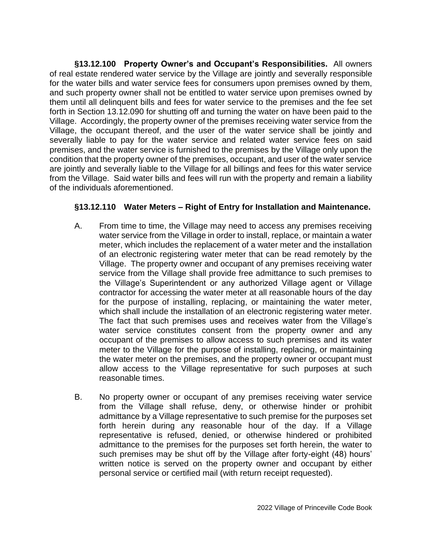**§13.12.100 Property Owner's and Occupant's Responsibilities.** All owners of real estate rendered water service by the Village are jointly and severally responsible for the water bills and water service fees for consumers upon premises owned by them, and such property owner shall not be entitled to water service upon premises owned by them until all delinquent bills and fees for water service to the premises and the fee set forth in Section 13.12.090 for shutting off and turning the water on have been paid to the Village. Accordingly, the property owner of the premises receiving water service from the Village, the occupant thereof, and the user of the water service shall be jointly and severally liable to pay for the water service and related water service fees on said premises, and the water service is furnished to the premises by the Village only upon the condition that the property owner of the premises, occupant, and user of the water service are jointly and severally liable to the Village for all billings and fees for this water service from the Village. Said water bills and fees will run with the property and remain a liability of the individuals aforementioned.

## **§13.12.110 Water Meters – Right of Entry for Installation and Maintenance.**

- A. From time to time, the Village may need to access any premises receiving water service from the Village in order to install, replace, or maintain a water meter, which includes the replacement of a water meter and the installation of an electronic registering water meter that can be read remotely by the Village. The property owner and occupant of any premises receiving water service from the Village shall provide free admittance to such premises to the Village's Superintendent or any authorized Village agent or Village contractor for accessing the water meter at all reasonable hours of the day for the purpose of installing, replacing, or maintaining the water meter, which shall include the installation of an electronic registering water meter. The fact that such premises uses and receives water from the Village's water service constitutes consent from the property owner and any occupant of the premises to allow access to such premises and its water meter to the Village for the purpose of installing, replacing, or maintaining the water meter on the premises, and the property owner or occupant must allow access to the Village representative for such purposes at such reasonable times.
- B. No property owner or occupant of any premises receiving water service from the Village shall refuse, deny, or otherwise hinder or prohibit admittance by a Village representative to such premise for the purposes set forth herein during any reasonable hour of the day. If a Village representative is refused, denied, or otherwise hindered or prohibited admittance to the premises for the purposes set forth herein, the water to such premises may be shut off by the Village after forty-eight (48) hours' written notice is served on the property owner and occupant by either personal service or certified mail (with return receipt requested).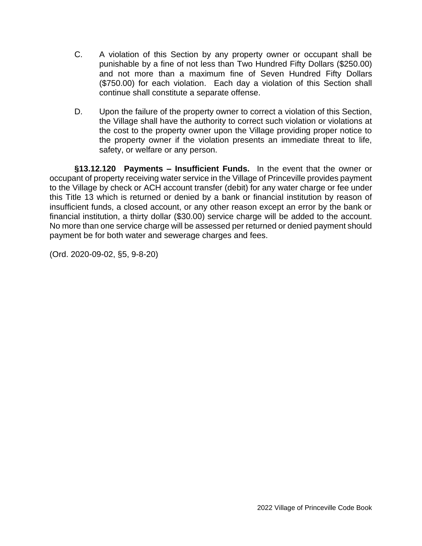- C. A violation of this Section by any property owner or occupant shall be punishable by a fine of not less than Two Hundred Fifty Dollars (\$250.00) and not more than a maximum fine of Seven Hundred Fifty Dollars (\$750.00) for each violation. Each day a violation of this Section shall continue shall constitute a separate offense.
- D. Upon the failure of the property owner to correct a violation of this Section, the Village shall have the authority to correct such violation or violations at the cost to the property owner upon the Village providing proper notice to the property owner if the violation presents an immediate threat to life, safety, or welfare or any person.

**§13.12.120 Payments – Insufficient Funds.** In the event that the owner or occupant of property receiving water service in the Village of Princeville provides payment to the Village by check or ACH account transfer (debit) for any water charge or fee under this Title 13 which is returned or denied by a bank or financial institution by reason of insufficient funds, a closed account, or any other reason except an error by the bank or financial institution, a thirty dollar (\$30.00) service charge will be added to the account. No more than one service charge will be assessed per returned or denied payment should payment be for both water and sewerage charges and fees.

(Ord. 2020-09-02, §5, 9-8-20)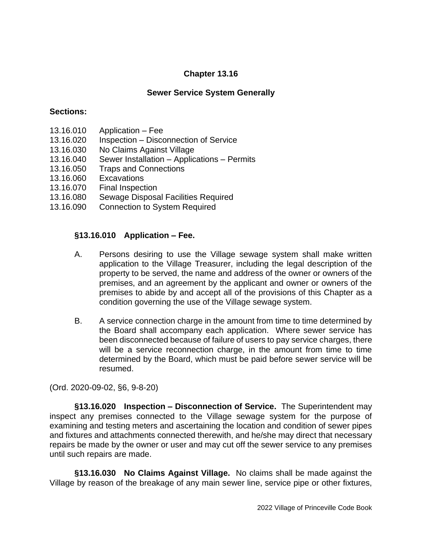## **Sewer Service System Generally**

### **Sections:**

- 13.16.010 Application Fee
- 13.16.020 Inspection Disconnection of Service
- 13.16.030 No Claims Against Village
- 13.16.040 Sewer Installation Applications Permits
- 13.16.050 Traps and Connections
- 13.16.060 Excavations
- 13.16.070 Final Inspection
- 13.16.080 Sewage Disposal Facilities Required
- 13.16.090 Connection to System Required

### **§13.16.010 Application – Fee.**

- A. Persons desiring to use the Village sewage system shall make written application to the Village Treasurer, including the legal description of the property to be served, the name and address of the owner or owners of the premises, and an agreement by the applicant and owner or owners of the premises to abide by and accept all of the provisions of this Chapter as a condition governing the use of the Village sewage system.
- B. A service connection charge in the amount from time to time determined by the Board shall accompany each application. Where sewer service has been disconnected because of failure of users to pay service charges, there will be a service reconnection charge, in the amount from time to time determined by the Board, which must be paid before sewer service will be resumed.

(Ord. 2020-09-02, §6, 9-8-20)

**§13.16.020 Inspection – Disconnection of Service.** The Superintendent may inspect any premises connected to the Village sewage system for the purpose of examining and testing meters and ascertaining the location and condition of sewer pipes and fixtures and attachments connected therewith, and he/she may direct that necessary repairs be made by the owner or user and may cut off the sewer service to any premises until such repairs are made.

**§13.16.030 No Claims Against Village.** No claims shall be made against the Village by reason of the breakage of any main sewer line, service pipe or other fixtures,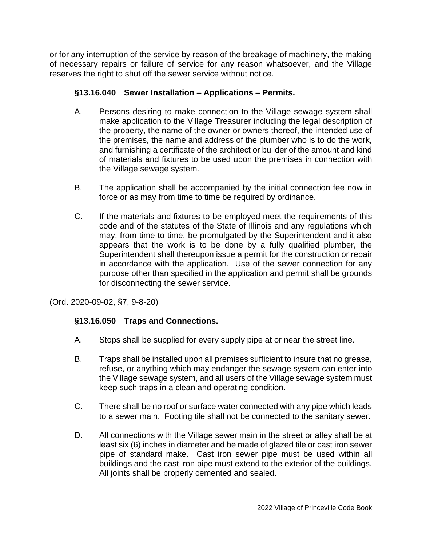or for any interruption of the service by reason of the breakage of machinery, the making of necessary repairs or failure of service for any reason whatsoever, and the Village reserves the right to shut off the sewer service without notice.

# **§13.16.040 Sewer Installation – Applications – Permits.**

- A. Persons desiring to make connection to the Village sewage system shall make application to the Village Treasurer including the legal description of the property, the name of the owner or owners thereof, the intended use of the premises, the name and address of the plumber who is to do the work, and furnishing a certificate of the architect or builder of the amount and kind of materials and fixtures to be used upon the premises in connection with the Village sewage system.
- B. The application shall be accompanied by the initial connection fee now in force or as may from time to time be required by ordinance.
- C. If the materials and fixtures to be employed meet the requirements of this code and of the statutes of the State of Illinois and any regulations which may, from time to time, be promulgated by the Superintendent and it also appears that the work is to be done by a fully qualified plumber, the Superintendent shall thereupon issue a permit for the construction or repair in accordance with the application. Use of the sewer connection for any purpose other than specified in the application and permit shall be grounds for disconnecting the sewer service.

(Ord. 2020-09-02, §7, 9-8-20)

## **§13.16.050 Traps and Connections.**

- A. Stops shall be supplied for every supply pipe at or near the street line.
- B. Traps shall be installed upon all premises sufficient to insure that no grease, refuse, or anything which may endanger the sewage system can enter into the Village sewage system, and all users of the Village sewage system must keep such traps in a clean and operating condition.
- C. There shall be no roof or surface water connected with any pipe which leads to a sewer main. Footing tile shall not be connected to the sanitary sewer.
- D. All connections with the Village sewer main in the street or alley shall be at least six (6) inches in diameter and be made of glazed tile or cast iron sewer pipe of standard make. Cast iron sewer pipe must be used within all buildings and the cast iron pipe must extend to the exterior of the buildings. All joints shall be properly cemented and sealed.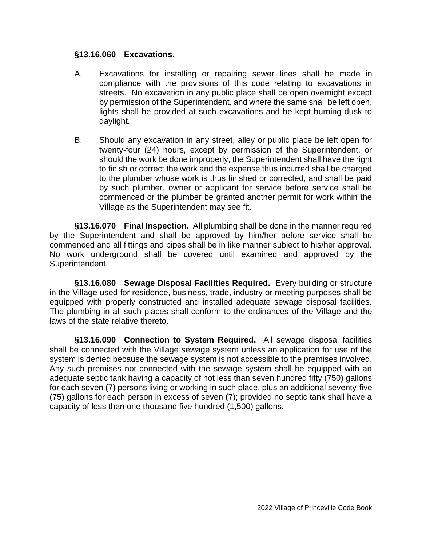### **§13.16.060 Excavations.**

- A. Excavations for installing or repairing sewer lines shall be made in compliance with the provisions of this code relating to excavations in streets. No excavation in any public place shall be open overnight except by permission of the Superintendent, and where the same shall be left open, lights shall be provided at such excavations and be kept burning dusk to daylight.
- B. Should any excavation in any street, alley or public place be left open for twenty-four (24) hours, except by permission of the Superintendent, or should the work be done improperly, the Superintendent shall have the right to finish or correct the work and the expense thus incurred shall be charged to the plumber whose work is thus finished or corrected, and shall be paid by such plumber, owner or applicant for service before service shall be commenced or the plumber be granted another permit for work within the Village as the Superintendent may see fit.

**§13.16.070 Final Inspection.** All plumbing shall be done in the manner required by the Superintendent and shall be approved by him/her before service shall be commenced and all fittings and pipes shall be in like manner subject to his/her approval. No work underground shall be covered until examined and approved by the Superintendent.

**§13.16.080 Sewage Disposal Facilities Required.** Every building or structure in the Village used for residence, business, trade, industry or meeting purposes shall be equipped with properly constructed and installed adequate sewage disposal facilities. The plumbing in all such places shall conform to the ordinances of the Village and the laws of the state relative thereto.

**§13.16.090 Connection to System Required.** All sewage disposal facilities shall be connected with the Village sewage system unless an application for use of the system is denied because the sewage system is not accessible to the premises involved. Any such premises not connected with the sewage system shall be equipped with an adequate septic tank having a capacity of not less than seven hundred fifty (750) gallons for each seven (7) persons living or working in such place, plus an additional seventy-five (75) gallons for each person in excess of seven (7); provided no septic tank shall have a capacity of less than one thousand five hundred (1,500) gallons.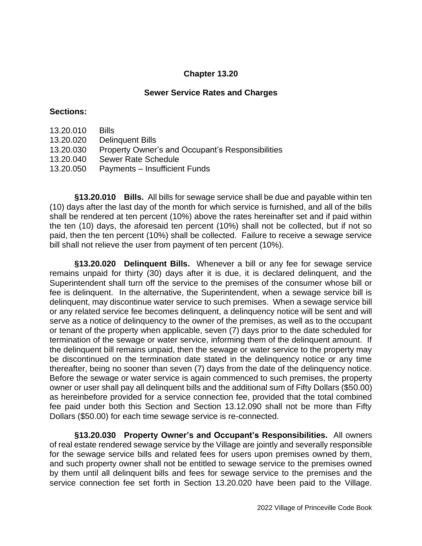### **Sewer Service Rates and Charges**

#### **Sections:**

13.20.010 Bills 13.20.020 Delinquent Bills 13.20.030 Property Owner's and Occupant's Responsibilities 13.20.040 Sewer Rate Schedule 13.20.050 Payments – Insufficient Funds

**§13.20.010 Bills.** All bills for sewage service shall be due and payable within ten (10) days after the last day of the month for which service is furnished, and all of the bills shall be rendered at ten percent (10%) above the rates hereinafter set and if paid within the ten (10) days, the aforesaid ten percent (10%) shall not be collected, but if not so paid, then the ten percent (10%) shall be collected. Failure to receive a sewage service bill shall not relieve the user from payment of ten percent (10%).

**§13.20.020 Delinquent Bills.** Whenever a bill or any fee for sewage service remains unpaid for thirty (30) days after it is due, it is declared delinquent, and the Superintendent shall turn off the service to the premises of the consumer whose bill or fee is delinquent. In the alternative, the Superintendent, when a sewage service bill is delinquent, may discontinue water service to such premises. When a sewage service bill or any related service fee becomes delinquent, a delinquency notice will be sent and will serve as a notice of delinquency to the owner of the premises, as well as to the occupant or tenant of the property when applicable, seven (7) days prior to the date scheduled for termination of the sewage or water service, informing them of the delinquent amount. If the delinquent bill remains unpaid, then the sewage or water service to the property may be discontinued on the termination date stated in the delinquency notice or any time thereafter, being no sooner than seven (7) days from the date of the delinquency notice. Before the sewage or water service is again commenced to such premises, the property owner or user shall pay all delinquent bills and the additional sum of Fifty Dollars (\$50.00) as hereinbefore provided for a service connection fee, provided that the total combined fee paid under both this Section and Section 13.12.090 shall not be more than Fifty Dollars (\$50.00) for each time sewage service is re-connected.

**§13.20.030 Property Owner's and Occupant's Responsibilities.** All owners of real estate rendered sewage service by the Village are jointly and severally responsible for the sewage service bills and related fees for users upon premises owned by them, and such property owner shall not be entitled to sewage service to the premises owned by them until all delinquent bills and fees for sewage service to the premises and the service connection fee set forth in Section 13.20.020 have been paid to the Village.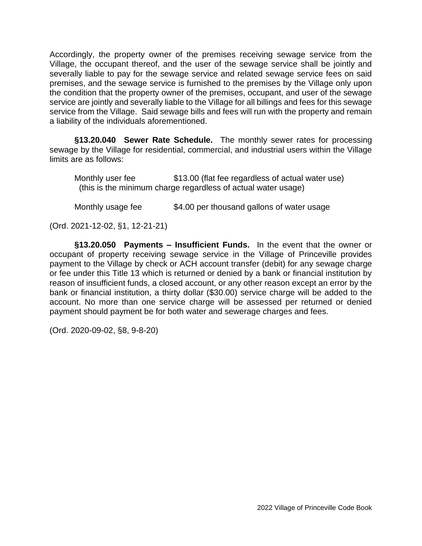Accordingly, the property owner of the premises receiving sewage service from the Village, the occupant thereof, and the user of the sewage service shall be jointly and severally liable to pay for the sewage service and related sewage service fees on said premises, and the sewage service is furnished to the premises by the Village only upon the condition that the property owner of the premises, occupant, and user of the sewage service are jointly and severally liable to the Village for all billings and fees for this sewage service from the Village. Said sewage bills and fees will run with the property and remain a liability of the individuals aforementioned.

**§13.20.040 Sewer Rate Schedule.** The monthly sewer rates for processing sewage by the Village for residential, commercial, and industrial users within the Village limits are as follows:

Monthly user fee \$13.00 (flat fee regardless of actual water use) (this is the minimum charge regardless of actual water usage)

Monthly usage fee \$4.00 per thousand gallons of water usage

(Ord. 2021-12-02, §1, 12-21-21)

**§13.20.050 Payments – Insufficient Funds.** In the event that the owner or occupant of property receiving sewage service in the Village of Princeville provides payment to the Village by check or ACH account transfer (debit) for any sewage charge or fee under this Title 13 which is returned or denied by a bank or financial institution by reason of insufficient funds, a closed account, or any other reason except an error by the bank or financial institution, a thirty dollar (\$30.00) service charge will be added to the account. No more than one service charge will be assessed per returned or denied payment should payment be for both water and sewerage charges and fees.

(Ord. 2020-09-02, §8, 9-8-20)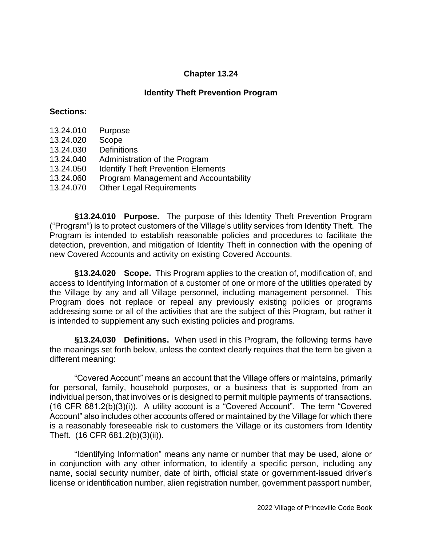### **Identity Theft Prevention Program**

#### **Sections:**

- 13.24.010 Purpose
- 13.24.020 Scope
- 13.24.030 Definitions
- 13.24.040 Administration of the Program
- 13.24.050 Identify Theft Prevention Elements
- 13.24.060 Program Management and Accountability
- 13.24.070 Other Legal Requirements

**§13.24.010 Purpose.** The purpose of this Identity Theft Prevention Program ("Program") is to protect customers of the Village's utility services from Identity Theft. The Program is intended to establish reasonable policies and procedures to facilitate the detection, prevention, and mitigation of Identity Theft in connection with the opening of new Covered Accounts and activity on existing Covered Accounts.

**§13.24.020 Scope.** This Program applies to the creation of, modification of, and access to Identifying Information of a customer of one or more of the utilities operated by the Village by any and all Village personnel, including management personnel. This Program does not replace or repeal any previously existing policies or programs addressing some or all of the activities that are the subject of this Program, but rather it is intended to supplement any such existing policies and programs.

**§13.24.030 Definitions.** When used in this Program, the following terms have the meanings set forth below, unless the context clearly requires that the term be given a different meaning:

"Covered Account" means an account that the Village offers or maintains, primarily for personal, family, household purposes, or a business that is supported from an individual person, that involves or is designed to permit multiple payments of transactions. (16 CFR 681.2(b)(3)(i)). A utility account is a "Covered Account". The term "Covered Account" also includes other accounts offered or maintained by the Village for which there is a reasonably foreseeable risk to customers the Village or its customers from Identity Theft. (16 CFR 681.2(b)(3)(ii)).

"Identifying Information" means any name or number that may be used, alone or in conjunction with any other information, to identify a specific person, including any name, social security number, date of birth, official state or government-issued driver's license or identification number, alien registration number, government passport number,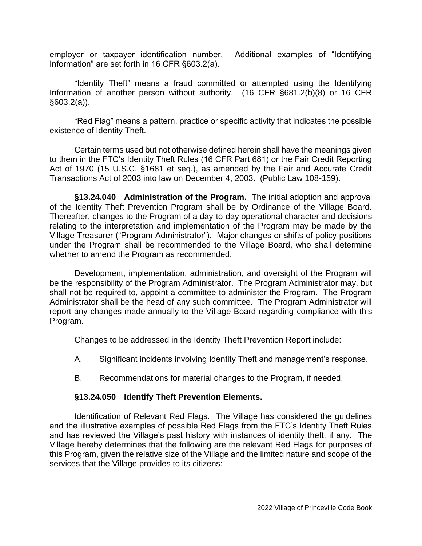employer or taxpayer identification number. Additional examples of "Identifying Information" are set forth in 16 CFR §603.2(a).

"Identity Theft" means a fraud committed or attempted using the Identifying Information of another person without authority. (16 CFR §681.2(b)(8) or 16 CFR §603.2(a)).

"Red Flag" means a pattern, practice or specific activity that indicates the possible existence of Identity Theft.

Certain terms used but not otherwise defined herein shall have the meanings given to them in the FTC's Identity Theft Rules (16 CFR Part 681) or the Fair Credit Reporting Act of 1970 (15 U.S.C. §1681 et seq.), as amended by the Fair and Accurate Credit Transactions Act of 2003 into law on December 4, 2003. (Public Law 108-159).

**§13.24.040 Administration of the Program.** The initial adoption and approval of the Identity Theft Prevention Program shall be by Ordinance of the Village Board. Thereafter, changes to the Program of a day-to-day operational character and decisions relating to the interpretation and implementation of the Program may be made by the Village Treasurer ("Program Administrator"). Major changes or shifts of policy positions under the Program shall be recommended to the Village Board, who shall determine whether to amend the Program as recommended.

Development, implementation, administration, and oversight of the Program will be the responsibility of the Program Administrator. The Program Administrator may, but shall not be required to, appoint a committee to administer the Program. The Program Administrator shall be the head of any such committee. The Program Administrator will report any changes made annually to the Village Board regarding compliance with this Program.

Changes to be addressed in the Identity Theft Prevention Report include:

- A. Significant incidents involving Identity Theft and management's response.
- B. Recommendations for material changes to the Program, if needed.

## **§13.24.050 Identify Theft Prevention Elements.**

Identification of Relevant Red Flags. The Village has considered the guidelines and the illustrative examples of possible Red Flags from the FTC's Identity Theft Rules and has reviewed the Village's past history with instances of identity theft, if any. The Village hereby determines that the following are the relevant Red Flags for purposes of this Program, given the relative size of the Village and the limited nature and scope of the services that the Village provides to its citizens: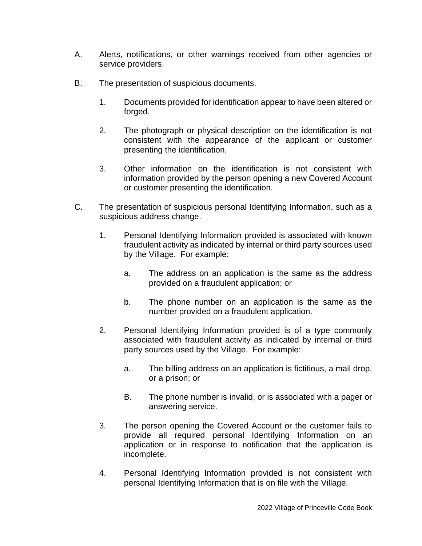- A. Alerts, notifications, or other warnings received from other agencies or service providers.
- B. The presentation of suspicious documents.
	- 1. Documents provided for identification appear to have been altered or forged.
	- 2. The photograph or physical description on the identification is not consistent with the appearance of the applicant or customer presenting the identification.
	- 3. Other information on the identification is not consistent with information provided by the person opening a new Covered Account or customer presenting the identification.
- C. The presentation of suspicious personal Identifying Information, such as a suspicious address change.
	- 1. Personal Identifying Information provided is associated with known fraudulent activity as indicated by internal or third party sources used by the Village. For example:
		- a. The address on an application is the same as the address provided on a fraudulent application; or
		- b. The phone number on an application is the same as the number provided on a fraudulent application.
	- 2. Personal Identifying Information provided is of a type commonly associated with fraudulent activity as indicated by internal or third party sources used by the Village. For example:
		- a. The billing address on an application is fictitious, a mail drop, or a prison; or
		- B. The phone number is invalid, or is associated with a pager or answering service.
	- 3. The person opening the Covered Account or the customer fails to provide all required personal Identifying Information on an application or in response to notification that the application is incomplete.
	- 4. Personal Identifying Information provided is not consistent with personal Identifying Information that is on file with the Village.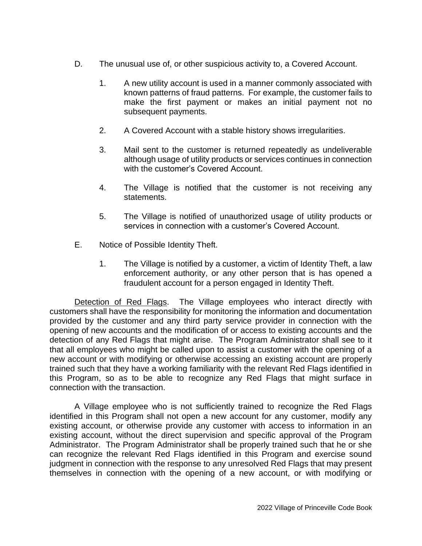- D. The unusual use of, or other suspicious activity to, a Covered Account.
	- 1. A new utility account is used in a manner commonly associated with known patterns of fraud patterns. For example, the customer fails to make the first payment or makes an initial payment not no subsequent payments.
	- 2. A Covered Account with a stable history shows irregularities.
	- 3. Mail sent to the customer is returned repeatedly as undeliverable although usage of utility products or services continues in connection with the customer's Covered Account.
	- 4. The Village is notified that the customer is not receiving any statements.
	- 5. The Village is notified of unauthorized usage of utility products or services in connection with a customer's Covered Account.
- E. Notice of Possible Identity Theft.
	- 1. The Village is notified by a customer, a victim of Identity Theft, a law enforcement authority, or any other person that is has opened a fraudulent account for a person engaged in Identity Theft.

Detection of Red Flags. The Village employees who interact directly with customers shall have the responsibility for monitoring the information and documentation provided by the customer and any third party service provider in connection with the opening of new accounts and the modification of or access to existing accounts and the detection of any Red Flags that might arise. The Program Administrator shall see to it that all employees who might be called upon to assist a customer with the opening of a new account or with modifying or otherwise accessing an existing account are properly trained such that they have a working familiarity with the relevant Red Flags identified in this Program, so as to be able to recognize any Red Flags that might surface in connection with the transaction.

A Village employee who is not sufficiently trained to recognize the Red Flags identified in this Program shall not open a new account for any customer, modify any existing account, or otherwise provide any customer with access to information in an existing account, without the direct supervision and specific approval of the Program Administrator. The Program Administrator shall be properly trained such that he or she can recognize the relevant Red Flags identified in this Program and exercise sound judgment in connection with the response to any unresolved Red Flags that may present themselves in connection with the opening of a new account, or with modifying or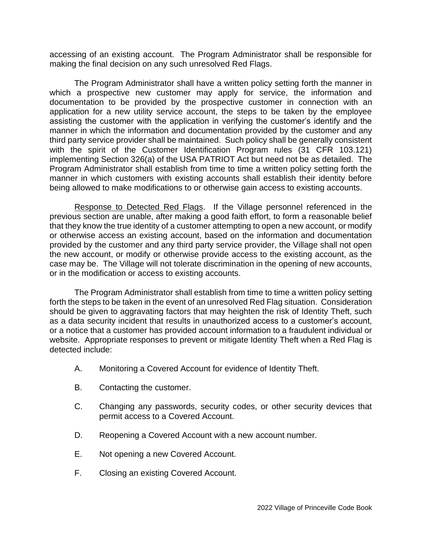accessing of an existing account. The Program Administrator shall be responsible for making the final decision on any such unresolved Red Flags.

The Program Administrator shall have a written policy setting forth the manner in which a prospective new customer may apply for service, the information and documentation to be provided by the prospective customer in connection with an application for a new utility service account, the steps to be taken by the employee assisting the customer with the application in verifying the customer's identify and the manner in which the information and documentation provided by the customer and any third party service provider shall be maintained. Such policy shall be generally consistent with the spirit of the Customer Identification Program rules (31 CFR 103.121) implementing Section 326(a) of the USA PATRIOT Act but need not be as detailed. The Program Administrator shall establish from time to time a written policy setting forth the manner in which customers with existing accounts shall establish their identity before being allowed to make modifications to or otherwise gain access to existing accounts.

Response to Detected Red Flags. If the Village personnel referenced in the previous section are unable, after making a good faith effort, to form a reasonable belief that they know the true identity of a customer attempting to open a new account, or modify or otherwise access an existing account, based on the information and documentation provided by the customer and any third party service provider, the Village shall not open the new account, or modify or otherwise provide access to the existing account, as the case may be. The Village will not tolerate discrimination in the opening of new accounts, or in the modification or access to existing accounts.

The Program Administrator shall establish from time to time a written policy setting forth the steps to be taken in the event of an unresolved Red Flag situation. Consideration should be given to aggravating factors that may heighten the risk of Identity Theft, such as a data security incident that results in unauthorized access to a customer's account, or a notice that a customer has provided account information to a fraudulent individual or website. Appropriate responses to prevent or mitigate Identity Theft when a Red Flag is detected include:

- A. Monitoring a Covered Account for evidence of Identity Theft.
- B. Contacting the customer.
- C. Changing any passwords, security codes, or other security devices that permit access to a Covered Account.
- D. Reopening a Covered Account with a new account number.
- E. Not opening a new Covered Account.
- F. Closing an existing Covered Account.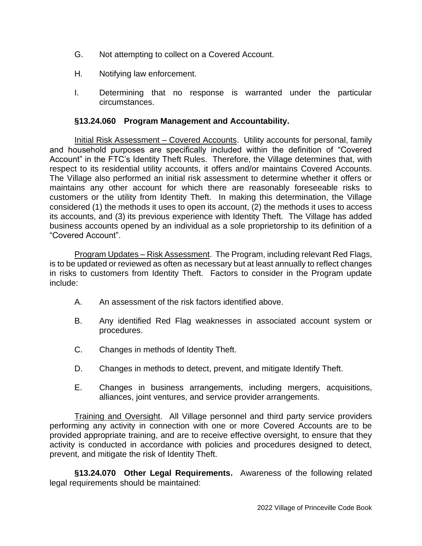- G. Not attempting to collect on a Covered Account.
- H. Notifying law enforcement.
- I. Determining that no response is warranted under the particular circumstances.

### **§13.24.060 Program Management and Accountability.**

Initial Risk Assessment – Covered Accounts. Utility accounts for personal, family and household purposes are specifically included within the definition of "Covered Account" in the FTC's Identity Theft Rules. Therefore, the Village determines that, with respect to its residential utility accounts, it offers and/or maintains Covered Accounts. The Village also performed an initial risk assessment to determine whether it offers or maintains any other account for which there are reasonably foreseeable risks to customers or the utility from Identity Theft. In making this determination, the Village considered (1) the methods it uses to open its account, (2) the methods it uses to access its accounts, and (3) its previous experience with Identity Theft. The Village has added business accounts opened by an individual as a sole proprietorship to its definition of a "Covered Account".

Program Updates – Risk Assessment. The Program, including relevant Red Flags, is to be updated or reviewed as often as necessary but at least annually to reflect changes in risks to customers from Identity Theft. Factors to consider in the Program update include:

- A. An assessment of the risk factors identified above.
- B. Any identified Red Flag weaknesses in associated account system or procedures.
- C. Changes in methods of Identity Theft.
- D. Changes in methods to detect, prevent, and mitigate Identify Theft.
- E. Changes in business arrangements, including mergers, acquisitions, alliances, joint ventures, and service provider arrangements.

Training and Oversight. All Village personnel and third party service providers performing any activity in connection with one or more Covered Accounts are to be provided appropriate training, and are to receive effective oversight, to ensure that they activity is conducted in accordance with policies and procedures designed to detect, prevent, and mitigate the risk of Identity Theft.

**§13.24.070 Other Legal Requirements.** Awareness of the following related legal requirements should be maintained: